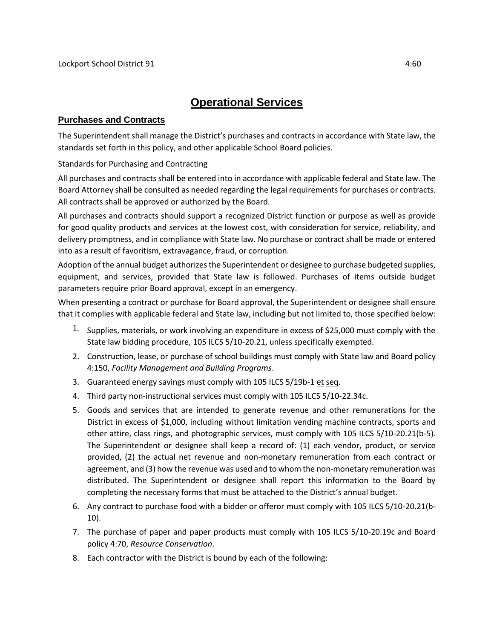## **Operational Services**

## **Purchases and Contracts**

The Superintendent shall manage the District's purchases and contracts in accordance with State law, the standards set forth in this policy, and other applicable School Board policies.

## Standards for Purchasing and Contracting

All purchases and contracts shall be entered into in accordance with applicable federal and State law. The Board Attorney shall be consulted as needed regarding the legal requirements for purchases or contracts. All contracts shall be approved or authorized by the Board.

All purchases and contracts should support a recognized District function or purpose as well as provide for good quality products and services at the lowest cost, with consideration for service, reliability, and delivery promptness, and in compliance with State law. No purchase or contract shall be made or entered into as a result of favoritism, extravagance, fraud, or corruption.

Adoption of the annual budget authorizes the Superintendent or designee to purchase budgeted supplies, equipment, and services, provided that State law is followed. Purchases of items outside budget parameters require prior Board approval, except in an emergency.

When presenting a contract or purchase for Board approval, the Superintendent or designee shall ensure that it complies with applicable federal and State law, including but not limited to, those specified below:

- <sup>1.</sup> Supplies, materials, or work involving an expenditure in excess of \$25,000 must comply with the State law bidding procedure, 105 ILCS 5/10-20.21, unless specifically exempted.
- 2. Construction, lease, or purchase of school buildings must comply with State law and Board policy 4:150, *Facility Management and Building Programs*.
- 3. Guaranteed energy savings must comply with 105 ILCS 5/19b-1 et seq.
- 4. Third party non-instructional services must comply with 105 ILCS 5/10-22.34c.
- 5. Goods and services that are intended to generate revenue and other remunerations for the District in excess of \$1,000, including without limitation vending machine contracts, sports and other attire, class rings, and photographic services, must comply with 105 ILCS 5/10-20.21(b-5). The Superintendent or designee shall keep a record of: (1) each vendor, product, or service provided, (2) the actual net revenue and non-monetary remuneration from each contract or agreement, and (3) how the revenue was used and to whom the non-monetary remuneration was distributed. The Superintendent or designee shall report this information to the Board by completing the necessary forms that must be attached to the District's annual budget.
- 6. Any contract to purchase food with a bidder or offeror must comply with 105 ILCS 5/10-20.21(b-10).
- 7. The purchase of paper and paper products must comply with 105 ILCS 5/10-20.19c and Board policy 4:70, *Resource Conservation*.
- 8. Each contractor with the District is bound by each of the following: